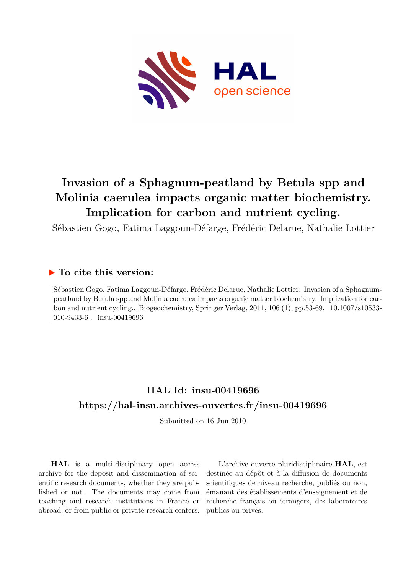

# **Invasion of a Sphagnum-peatland by Betula spp and Molinia caerulea impacts organic matter biochemistry. Implication for carbon and nutrient cycling.**

Sébastien Gogo, Fatima Laggoun-Défarge, Frédéric Delarue, Nathalie Lottier

## **To cite this version:**

Sébastien Gogo, Fatima Laggoun-Défarge, Frédéric Delarue, Nathalie Lottier. Invasion of a Sphagnumpeatland by Betula spp and Molinia caerulea impacts organic matter biochemistry. Implication for carbon and nutrient cycling.. Biogeochemistry, Springer Verlag,  $2011$ ,  $106$  (1), pp.53-69.  $10.1007/s10533-$ 010-9433-6  $\,$  insu-00419696

## **HAL Id: insu-00419696 <https://hal-insu.archives-ouvertes.fr/insu-00419696>**

Submitted on 16 Jun 2010

**HAL** is a multi-disciplinary open access archive for the deposit and dissemination of scientific research documents, whether they are published or not. The documents may come from teaching and research institutions in France or abroad, or from public or private research centers.

L'archive ouverte pluridisciplinaire **HAL**, est destinée au dépôt et à la diffusion de documents scientifiques de niveau recherche, publiés ou non, émanant des établissements d'enseignement et de recherche français ou étrangers, des laboratoires publics ou privés.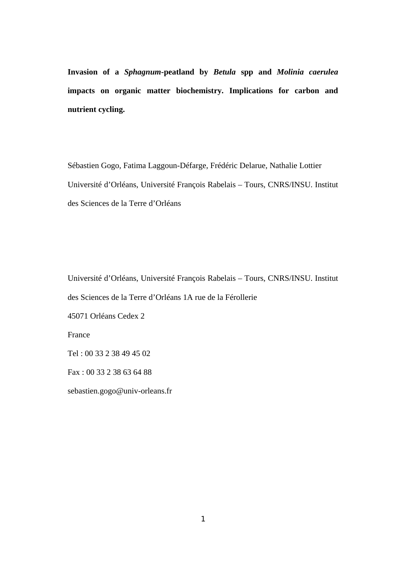**Invasion of a** *Sphagnum***-peatland by** *Betula* **spp and** *Molinia caerulea* **impacts on organic matter biochemistry. Implications for carbon and nutrient cycling.** 

Sébastien Gogo, Fatima Laggoun-Défarge, Frédéric Delarue, Nathalie Lottier Université d'Orléans, Université François Rabelais – Tours, CNRS/INSU. Institut des Sciences de la Terre d'Orléans

Université d'Orléans, Université François Rabelais – Tours, CNRS/INSU. Institut des Sciences de la Terre d'Orléans 1A rue de la Férollerie 45071 Orléans Cedex 2 France

Tel : 00 33 2 38 49 45 02

Fax : 00 33 2 38 63 64 88

sebastien.gogo@univ-orleans.fr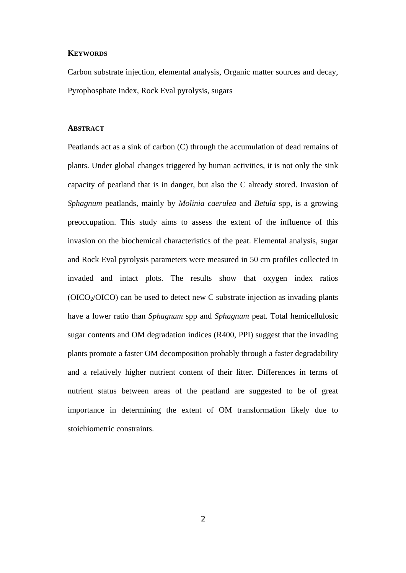#### **KEYWORDS**

Carbon substrate injection, elemental analysis, Organic matter sources and decay, Pyrophosphate Index, Rock Eval pyrolysis, sugars

#### **ABSTRACT**

Peatlands act as a sink of carbon (C) through the accumulation of dead remains of plants. Under global changes triggered by human activities, it is not only the sink capacity of peatland that is in danger, but also the C already stored. Invasion of *Sphagnum* peatlands, mainly by *Molinia caerulea* and *Betula* spp, is a growing preoccupation. This study aims to assess the extent of the influence of this invasion on the biochemical characteristics of the peat. Elemental analysis, sugar and Rock Eval pyrolysis parameters were measured in 50 cm profiles collected in invaded and intact plots. The results show that oxygen index ratios  $(OICO<sub>2</sub>/OICO)$  can be used to detect new C substrate injection as invading plants have a lower ratio than *Sphagnum* spp and *Sphagnum* peat. Total hemicellulosic sugar contents and OM degradation indices (R400, PPI) suggest that the invading plants promote a faster OM decomposition probably through a faster degradability and a relatively higher nutrient content of their litter. Differences in terms of nutrient status between areas of the peatland are suggested to be of great importance in determining the extent of OM transformation likely due to stoichiometric constraints.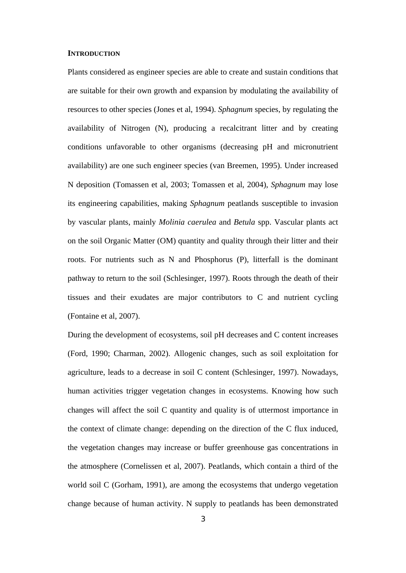#### **INTRODUCTION**

Plants considered as engineer species are able to create and sustain conditions that are suitable for their own growth and expansion by modulating the availability of resources to other species (Jones et al, 1994). *Sphagnum* species, by regulating the availability of Nitrogen (N), producing a recalcitrant litter and by creating conditions unfavorable to other organisms (decreasing pH and micronutrient availability) are one such engineer species (van Breemen, 1995). Under increased N deposition (Tomassen et al, 2003; Tomassen et al, 2004), *Sphagnum* may lose its engineering capabilities, making *Sphagnum* peatlands susceptible to invasion by vascular plants, mainly *Molinia caerulea* and *Betula* spp. Vascular plants act on the soil Organic Matter (OM) quantity and quality through their litter and their roots. For nutrients such as N and Phosphorus (P), litterfall is the dominant pathway to return to the soil (Schlesinger, 1997). Roots through the death of their tissues and their exudates are major contributors to C and nutrient cycling (Fontaine et al, 2007).

During the development of ecosystems, soil pH decreases and C content increases (Ford, 1990; Charman, 2002). Allogenic changes, such as soil exploitation for agriculture, leads to a decrease in soil C content (Schlesinger, 1997). Nowadays, human activities trigger vegetation changes in ecosystems. Knowing how such changes will affect the soil C quantity and quality is of uttermost importance in the context of climate change: depending on the direction of the C flux induced, the vegetation changes may increase or buffer greenhouse gas concentrations in the atmosphere (Cornelissen et al, 2007). Peatlands, which contain a third of the world soil C (Gorham, 1991), are among the ecosystems that undergo vegetation change because of human activity. N supply to peatlands has been demonstrated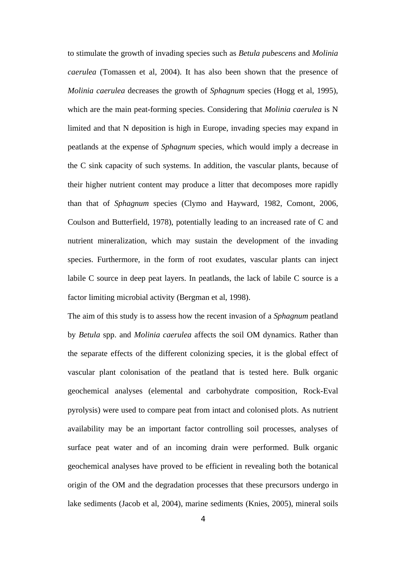to stimulate the growth of invading species such as *Betula pubescens* and *Molinia caerulea* (Tomassen et al, 2004). It has also been shown that the presence of *Molinia caerulea* decreases the growth of *Sphagnum* species (Hogg et al, 1995), which are the main peat-forming species. Considering that *Molinia caerulea* is N limited and that N deposition is high in Europe, invading species may expand in peatlands at the expense of *Sphagnum* species, which would imply a decrease in the C sink capacity of such systems. In addition, the vascular plants, because of their higher nutrient content may produce a litter that decomposes more rapidly than that of *Sphagnum* species (Clymo and Hayward, 1982, Comont, 2006, Coulson and Butterfield, 1978), potentially leading to an increased rate of C and nutrient mineralization, which may sustain the development of the invading species. Furthermore, in the form of root exudates, vascular plants can inject labile C source in deep peat layers. In peatlands, the lack of labile C source is a factor limiting microbial activity (Bergman et al, 1998).

The aim of this study is to assess how the recent invasion of a *Sphagnum* peatland by *Betula* spp. and *Molinia caerulea* affects the soil OM dynamics. Rather than the separate effects of the different colonizing species, it is the global effect of vascular plant colonisation of the peatland that is tested here. Bulk organic geochemical analyses (elemental and carbohydrate composition, Rock-Eval pyrolysis) were used to compare peat from intact and colonised plots. As nutrient availability may be an important factor controlling soil processes, analyses of surface peat water and of an incoming drain were performed. Bulk organic geochemical analyses have proved to be efficient in revealing both the botanical origin of the OM and the degradation processes that these precursors undergo in lake sediments (Jacob et al, 2004), marine sediments (Knies, 2005), mineral soils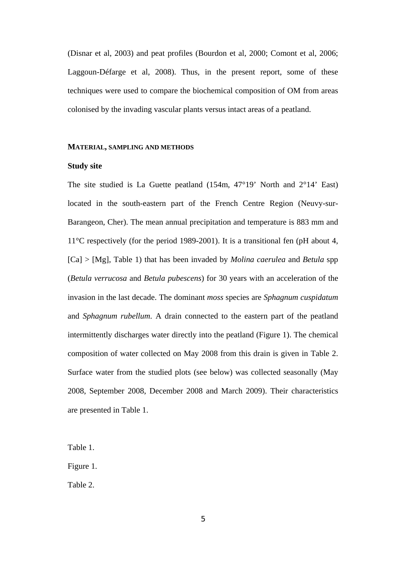(Disnar et al, 2003) and peat profiles (Bourdon et al, 2000; Comont et al, 2006; Laggoun-Défarge et al, 2008). Thus, in the present report, some of these techniques were used to compare the biochemical composition of OM from areas colonised by the invading vascular plants versus intact areas of a peatland.

#### **MATERIAL, SAMPLING AND METHODS**

#### **Study site**

The site studied is La Guette peatland (154m, 47°19' North and 2°14' East) located in the south-eastern part of the French Centre Region (Neuvy-sur-Barangeon, Cher). The mean annual precipitation and temperature is 883 mm and 11°C respectively (for the period 1989-2001). It is a transitional fen (pH about 4, [Ca] > [Mg], Table 1) that has been invaded by *Molina caerulea* and *Betula* spp (*Betula verrucosa* and *Betula pubescens*) for 30 years with an acceleration of the invasion in the last decade. The dominant *moss* species are *Sphagnum cuspidatum* and *Sphagnum rubellum*. A drain connected to the eastern part of the peatland intermittently discharges water directly into the peatland (Figure 1). The chemical composition of water collected on May 2008 from this drain is given in Table 2. Surface water from the studied plots (see below) was collected seasonally (May 2008, September 2008, December 2008 and March 2009). Their characteristics are presented in Table 1.

Table 1.

Figure 1.

Table 2.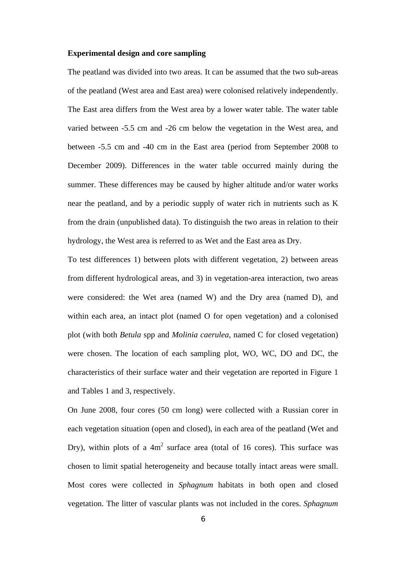#### **Experimental design and core sampling**

The peatland was divided into two areas. It can be assumed that the two sub-areas of the peatland (West area and East area) were colonised relatively independently. The East area differs from the West area by a lower water table. The water table varied between -5.5 cm and -26 cm below the vegetation in the West area, and between -5.5 cm and -40 cm in the East area (period from September 2008 to December 2009). Differences in the water table occurred mainly during the summer. These differences may be caused by higher altitude and/or water works near the peatland, and by a periodic supply of water rich in nutrients such as K from the drain (unpublished data). To distinguish the two areas in relation to their hydrology, the West area is referred to as Wet and the East area as Dry.

To test differences 1) between plots with different vegetation, 2) between areas from different hydrological areas, and 3) in vegetation-area interaction, two areas were considered: the Wet area (named W) and the Dry area (named D), and within each area, an intact plot (named O for open vegetation) and a colonised plot (with both *Betula* spp and *Molinia caerulea*, named C for closed vegetation) were chosen. The location of each sampling plot, WO, WC, DO and DC, the characteristics of their surface water and their vegetation are reported in Figure 1 and Tables 1 and 3, respectively.

On June 2008, four cores (50 cm long) were collected with a Russian corer in each vegetation situation (open and closed), in each area of the peatland (Wet and Dry), within plots of a  $4m^2$  surface area (total of 16 cores). This surface was chosen to limit spatial heterogeneity and because totally intact areas were small. Most cores were collected in *Sphagnum* habitats in both open and closed vegetation. The litter of vascular plants was not included in the cores. *Sphagnum*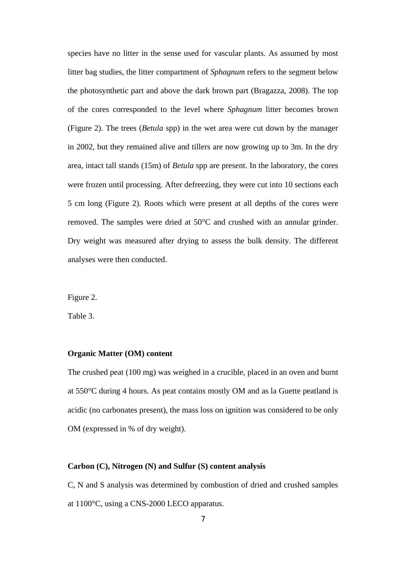species have no litter in the sense used for vascular plants. As assumed by most litter bag studies, the litter compartment of *Sphagnum* refers to the segment below the photosynthetic part and above the dark brown part (Bragazza, 2008). The top of the cores corresponded to the level where *Sphagnum* litter becomes brown (Figure 2). The trees (*Betula* spp) in the wet area were cut down by the manager in 2002, but they remained alive and tillers are now growing up to 3m. In the dry area, intact tall stands (15m) of *Betula* spp are present. In the laboratory, the cores were frozen until processing. After defreezing, they were cut into 10 sections each 5 cm long (Figure 2). Roots which were present at all depths of the cores were removed. The samples were dried at 50°C and crushed with an annular grinder. Dry weight was measured after drying to assess the bulk density. The different analyses were then conducted.

Figure 2.

Table 3.

#### **Organic Matter (OM) content**

The crushed peat (100 mg) was weighed in a crucible, placed in an oven and burnt at 550°C during 4 hours. As peat contains mostly OM and as la Guette peatland is acidic (no carbonates present), the mass loss on ignition was considered to be only OM (expressed in % of dry weight).

## **Carbon (C), Nitrogen (N) and Sulfur (S) content analysis**

C, N and S analysis was determined by combustion of dried and crushed samples at 1100°C, using a CNS-2000 LECO apparatus.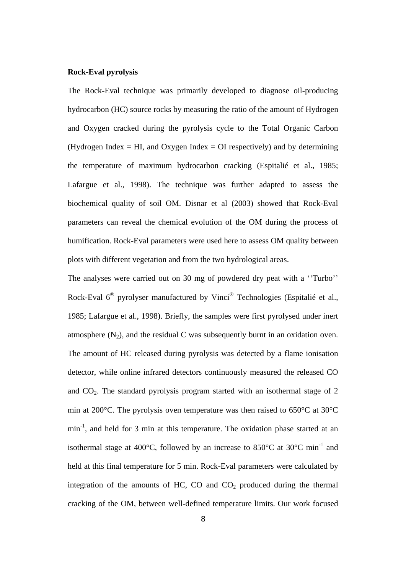#### **Rock-Eval pyrolysis**

The Rock-Eval technique was primarily developed to diagnose oil-producing hydrocarbon (HC) source rocks by measuring the ratio of the amount of Hydrogen and Oxygen cracked during the pyrolysis cycle to the Total Organic Carbon (Hydrogen Index  $=$  HI, and Oxygen Index  $=$  OI respectively) and by determining the temperature of maximum hydrocarbon cracking (Espitalié et al., 1985; Lafargue et al., 1998). The technique was further adapted to assess the biochemical quality of soil OM. Disnar et al (2003) showed that Rock-Eval parameters can reveal the chemical evolution of the OM during the process of humification. Rock-Eval parameters were used here to assess OM quality between plots with different vegetation and from the two hydrological areas.

The analyses were carried out on 30 mg of powdered dry peat with a ''Turbo'' Rock-Eval 6® pyrolyser manufactured by Vinci® Technologies (Espitalié et al., 1985; Lafargue et al., 1998). Briefly, the samples were first pyrolysed under inert atmosphere  $(N_2)$ , and the residual C was subsequently burnt in an oxidation oven. The amount of HC released during pyrolysis was detected by a flame ionisation detector, while online infrared detectors continuously measured the released CO and  $CO<sub>2</sub>$ . The standard pyrolysis program started with an isothermal stage of 2 min at 200°C. The pyrolysis oven temperature was then raised to 650°C at 30°C min<sup>-1</sup>, and held for 3 min at this temperature. The oxidation phase started at an isothermal stage at 400 $^{\circ}$ C, followed by an increase to 850 $^{\circ}$ C at 30 $^{\circ}$ C min<sup>-1</sup> and held at this final temperature for 5 min. Rock-Eval parameters were calculated by integration of the amounts of HC, CO and  $CO<sub>2</sub>$  produced during the thermal cracking of the OM, between well-defined temperature limits. Our work focused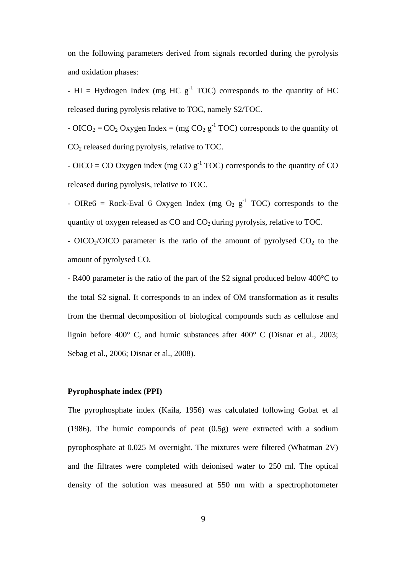on the following parameters derived from signals recorded during the pyrolysis and oxidation phases:

- HI = Hydrogen Index (mg HC  $g^{-1}$  TOC) corresponds to the quantity of HC released during pyrolysis relative to TOC, namely S2/TOC.

- OICO<sub>2</sub> = CO<sub>2</sub> Oxygen Index = (mg CO<sub>2</sub> g<sup>-1</sup> TOC) corresponds to the quantity of  $CO<sub>2</sub>$  released during pyrolysis, relative to TOC.

- OICO = CO Oxygen index (mg CO  $g^{-1}$  TOC) corresponds to the quantity of CO released during pyrolysis, relative to TOC.

- OIRe6 = Rock-Eval 6 Oxygen Index (mg  $O_2$  g<sup>-1</sup> TOC) corresponds to the quantity of oxygen released as  $CO$  and  $CO<sub>2</sub>$  during pyrolysis, relative to TOC.

- OICO<sub>2</sub>/OICO parameter is the ratio of the amount of pyrolysed  $CO<sub>2</sub>$  to the amount of pyrolysed CO.

- R400 parameter is the ratio of the part of the S2 signal produced below 400°C to the total S2 signal. It corresponds to an index of OM transformation as it results from the thermal decomposition of biological compounds such as cellulose and lignin before 400° C, and humic substances after 400° C (Disnar et al., 2003; Sebag et al., 2006; Disnar et al., 2008).

## **Pyrophosphate index (PPI)**

The pyrophosphate index (Kaila, 1956) was calculated following Gobat et al (1986). The humic compounds of peat (0.5g) were extracted with a sodium pyrophosphate at 0.025 M overnight. The mixtures were filtered (Whatman 2V) and the filtrates were completed with deionised water to 250 ml. The optical density of the solution was measured at 550 nm with a spectrophotometer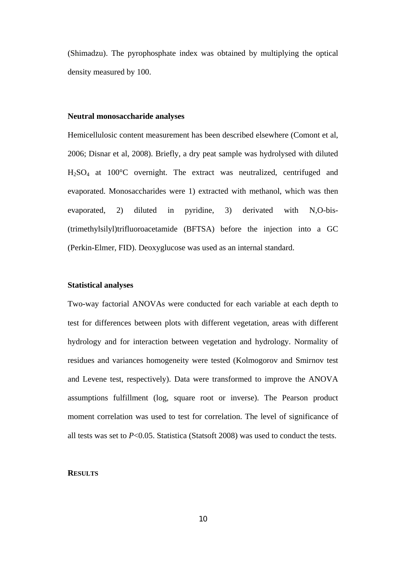(Shimadzu). The pyrophosphate index was obtained by multiplying the optical density measured by 100.

#### **Neutral monosaccharide analyses**

Hemicellulosic content measurement has been described elsewhere (Comont et al, 2006; Disnar et al, 2008). Briefly, a dry peat sample was hydrolysed with diluted H2SO4 at 100°C overnight. The extract was neutralized, centrifuged and evaporated. Monosaccharides were 1) extracted with methanol, which was then evaporated, 2) diluted in pyridine, 3) derivated with N,O-bis- (trimethylsilyl)trifluoroacetamide (BFTSA) before the injection into a GC (Perkin-Elmer, FID). Deoxyglucose was used as an internal standard.

#### **Statistical analyses**

Two-way factorial ANOVAs were conducted for each variable at each depth to test for differences between plots with different vegetation, areas with different hydrology and for interaction between vegetation and hydrology. Normality of residues and variances homogeneity were tested (Kolmogorov and Smirnov test and Levene test, respectively). Data were transformed to improve the ANOVA assumptions fulfillment (log, square root or inverse). The Pearson product moment correlation was used to test for correlation. The level of significance of all tests was set to *P*<0.05. Statistica (Statsoft 2008) was used to conduct the tests.

#### **RESULTS**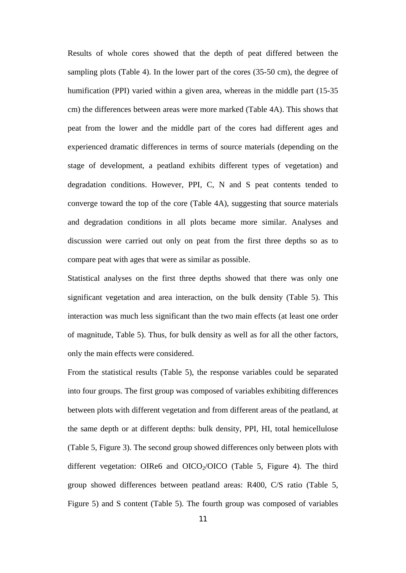Results of whole cores showed that the depth of peat differed between the sampling plots (Table 4). In the lower part of the cores (35-50 cm), the degree of humification (PPI) varied within a given area, whereas in the middle part (15-35 cm) the differences between areas were more marked (Table 4A). This shows that peat from the lower and the middle part of the cores had different ages and experienced dramatic differences in terms of source materials (depending on the stage of development, a peatland exhibits different types of vegetation) and degradation conditions. However, PPI, C, N and S peat contents tended to converge toward the top of the core (Table 4A), suggesting that source materials and degradation conditions in all plots became more similar. Analyses and discussion were carried out only on peat from the first three depths so as to compare peat with ages that were as similar as possible.

Statistical analyses on the first three depths showed that there was only one significant vegetation and area interaction, on the bulk density (Table 5). This interaction was much less significant than the two main effects (at least one order of magnitude, Table 5). Thus, for bulk density as well as for all the other factors, only the main effects were considered.

From the statistical results (Table 5), the response variables could be separated into four groups. The first group was composed of variables exhibiting differences between plots with different vegetation and from different areas of the peatland, at the same depth or at different depths: bulk density, PPI, HI, total hemicellulose (Table 5, Figure 3). The second group showed differences only between plots with different vegetation: OIRe6 and OICO $_2$ /OICO (Table 5, Figure 4). The third group showed differences between peatland areas: R400, C/S ratio (Table 5, Figure 5) and S content (Table 5). The fourth group was composed of variables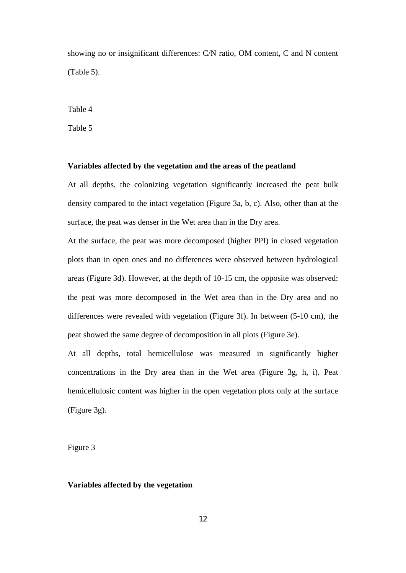showing no or insignificant differences: C/N ratio, OM content, C and N content (Table 5).

Table 4

Table 5

#### **Variables affected by the vegetation and the areas of the peatland**

At all depths, the colonizing vegetation significantly increased the peat bulk density compared to the intact vegetation (Figure 3a, b, c). Also, other than at the surface, the peat was denser in the Wet area than in the Dry area.

At the surface, the peat was more decomposed (higher PPI) in closed vegetation plots than in open ones and no differences were observed between hydrological areas (Figure 3d). However, at the depth of 10-15 cm, the opposite was observed: the peat was more decomposed in the Wet area than in the Dry area and no differences were revealed with vegetation (Figure 3f). In between (5-10 cm), the peat showed the same degree of decomposition in all plots (Figure 3e).

At all depths, total hemicellulose was measured in significantly higher concentrations in the Dry area than in the Wet area (Figure 3g, h, i). Peat hemicellulosic content was higher in the open vegetation plots only at the surface (Figure 3g).

Figure 3

#### **Variables affected by the vegetation**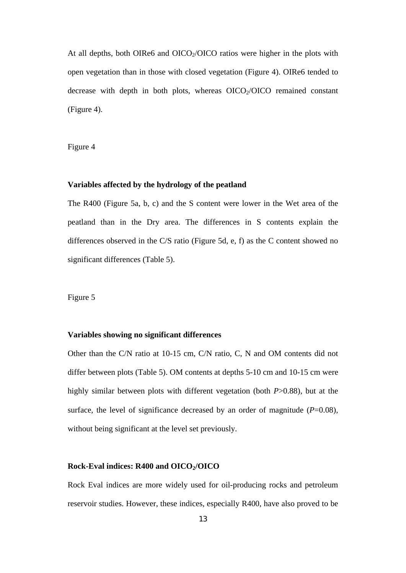At all depths, both OIRe6 and OICO $\gamma$ /OICO ratios were higher in the plots with open vegetation than in those with closed vegetation (Figure 4). OIRe6 tended to decrease with depth in both plots, whereas  $OICO<sub>2</sub>/OICO$  remained constant (Figure 4).

Figure 4

#### **Variables affected by the hydrology of the peatland**

The R400 (Figure 5a, b, c) and the S content were lower in the Wet area of the peatland than in the Dry area. The differences in S contents explain the differences observed in the C/S ratio (Figure 5d, e, f) as the C content showed no significant differences (Table 5).

#### Figure 5

#### **Variables showing no significant differences**

Other than the C/N ratio at 10-15 cm, C/N ratio, C, N and OM contents did not differ between plots (Table 5). OM contents at depths 5-10 cm and 10-15 cm were highly similar between plots with different vegetation (both *P*>0.88), but at the surface, the level of significance decreased by an order of magnitude  $(P=0.08)$ , without being significant at the level set previously.

#### **Rock-Eval indices: R400 and OICO2/OICO**

Rock Eval indices are more widely used for oil-producing rocks and petroleum reservoir studies. However, these indices, especially R400, have also proved to be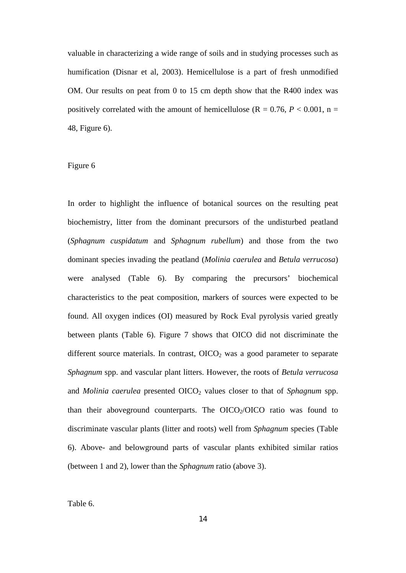valuable in characterizing a wide range of soils and in studying processes such as humification (Disnar et al, 2003). Hemicellulose is a part of fresh unmodified OM. Our results on peat from 0 to 15 cm depth show that the R400 index was positively correlated with the amount of hemicellulose ( $R = 0.76$ ,  $P < 0.001$ ,  $n =$ 48, Figure 6).

## Figure 6

In order to highlight the influence of botanical sources on the resulting peat biochemistry, litter from the dominant precursors of the undisturbed peatland (*Sphagnum cuspidatum* and *Sphagnum rubellum*) and those from the two dominant species invading the peatland (*Molinia caerulea* and *Betula verrucosa*) were analysed (Table 6). By comparing the precursors' biochemical characteristics to the peat composition, markers of sources were expected to be found. All oxygen indices (OI) measured by Rock Eval pyrolysis varied greatly between plants (Table 6). Figure 7 shows that OICO did not discriminate the different source materials. In contrast,  $OICO<sub>2</sub>$  was a good parameter to separate *Sphagnum* spp. and vascular plant litters. However, the roots of *Betula verrucosa* and *Molinia caerulea* presented OICO<sub>2</sub> values closer to that of *Sphagnum* spp. than their aboveground counterparts. The  $OICO<sub>2</sub>/OICO$  ratio was found to discriminate vascular plants (litter and roots) well from *Sphagnum* species (Table 6). Above- and belowground parts of vascular plants exhibited similar ratios (between 1 and 2), lower than the *Sphagnum* ratio (above 3).

Table 6.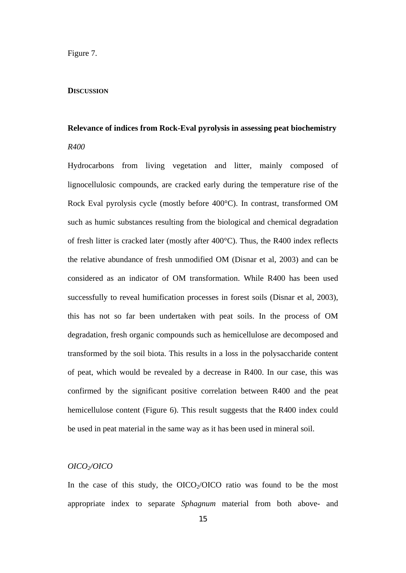#### Figure 7.

#### **DISCUSSION**

# **Relevance of indices from Rock-Eval pyrolysis in assessing peat biochemistry**  *R400*

Hydrocarbons from living vegetation and litter, mainly composed of lignocellulosic compounds, are cracked early during the temperature rise of the Rock Eval pyrolysis cycle (mostly before 400°C). In contrast, transformed OM such as humic substances resulting from the biological and chemical degradation of fresh litter is cracked later (mostly after 400°C). Thus, the R400 index reflects the relative abundance of fresh unmodified OM (Disnar et al, 2003) and can be considered as an indicator of OM transformation. While R400 has been used successfully to reveal humification processes in forest soils (Disnar et al, 2003), this has not so far been undertaken with peat soils. In the process of OM degradation, fresh organic compounds such as hemicellulose are decomposed and transformed by the soil biota. This results in a loss in the polysaccharide content of peat, which would be revealed by a decrease in R400. In our case, this was confirmed by the significant positive correlation between R400 and the peat hemicellulose content (Figure 6). This result suggests that the R400 index could be used in peat material in the same way as it has been used in mineral soil.

## *OICO2/OICO*

In the case of this study, the  $OICO<sub>2</sub>/OICO$  ratio was found to be the most appropriate index to separate *Sphagnum* material from both above- and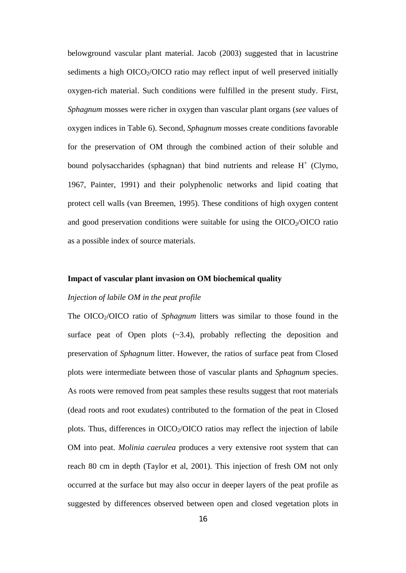belowground vascular plant material. Jacob (2003) suggested that in lacustrine sediments a high  $OICO<sub>2</sub>/OICO$  ratio may reflect input of well preserved initially oxygen-rich material. Such conditions were fulfilled in the present study. First, *Sphagnum* mosses were richer in oxygen than vascular plant organs (*see* values of oxygen indices in Table 6). Second, *Sphagnum* mosses create conditions favorable for the preservation of OM through the combined action of their soluble and bound polysaccharides (sphagnan) that bind nutrients and release  $H^+$  (Clymo, 1967, Painter, 1991) and their polyphenolic networks and lipid coating that protect cell walls (van Breemen, 1995). These conditions of high oxygen content and good preservation conditions were suitable for using the  $OICO<sub>2</sub>/OICO$  ratio as a possible index of source materials.

#### **Impact of vascular plant invasion on OM biochemical quality**

## *Injection of labile OM in the peat profile*

The OICO<sub>2</sub>/OICO ratio of *Sphagnum* litters was similar to those found in the surface peat of Open plots  $(-3.4)$ , probably reflecting the deposition and preservation of *Sphagnum* litter. However, the ratios of surface peat from Closed plots were intermediate between those of vascular plants and *Sphagnum* species. As roots were removed from peat samples these results suggest that root materials (dead roots and root exudates) contributed to the formation of the peat in Closed plots. Thus, differences in  $OICO<sub>2</sub>/OICO$  ratios may reflect the injection of labile OM into peat. *Molinia caerulea* produces a very extensive root system that can reach 80 cm in depth (Taylor et al, 2001). This injection of fresh OM not only occurred at the surface but may also occur in deeper layers of the peat profile as suggested by differences observed between open and closed vegetation plots in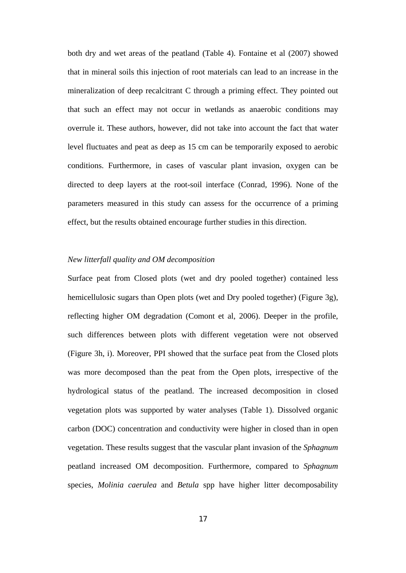both dry and wet areas of the peatland (Table 4). Fontaine et al (2007) showed that in mineral soils this injection of root materials can lead to an increase in the mineralization of deep recalcitrant C through a priming effect. They pointed out that such an effect may not occur in wetlands as anaerobic conditions may overrule it. These authors, however, did not take into account the fact that water level fluctuates and peat as deep as 15 cm can be temporarily exposed to aerobic conditions. Furthermore, in cases of vascular plant invasion, oxygen can be directed to deep layers at the root-soil interface (Conrad, 1996). None of the parameters measured in this study can assess for the occurrence of a priming effect, but the results obtained encourage further studies in this direction.

## *New litterfall quality and OM decomposition*

Surface peat from Closed plots (wet and dry pooled together) contained less hemicellulosic sugars than Open plots (wet and Dry pooled together) (Figure 3g), reflecting higher OM degradation (Comont et al, 2006). Deeper in the profile, such differences between plots with different vegetation were not observed (Figure 3h, i). Moreover, PPI showed that the surface peat from the Closed plots was more decomposed than the peat from the Open plots, irrespective of the hydrological status of the peatland. The increased decomposition in closed vegetation plots was supported by water analyses (Table 1). Dissolved organic carbon (DOC) concentration and conductivity were higher in closed than in open vegetation. These results suggest that the vascular plant invasion of the *Sphagnum* peatland increased OM decomposition. Furthermore, compared to *Sphagnum* species, *Molinia caerulea* and *Betula* spp have higher litter decomposability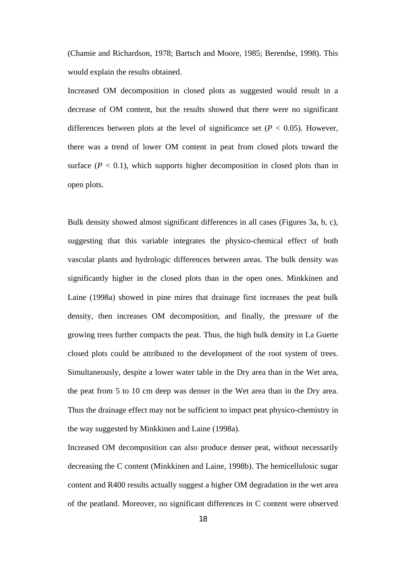(Chamie and Richardson, 1978; Bartsch and Moore, 1985; Berendse, 1998). This would explain the results obtained.

Increased OM decomposition in closed plots as suggested would result in a decrease of OM content, but the results showed that there were no significant differences between plots at the level of significance set  $(P < 0.05)$ . However, there was a trend of lower OM content in peat from closed plots toward the surface  $(P < 0.1)$ , which supports higher decomposition in closed plots than in open plots.

Bulk density showed almost significant differences in all cases (Figures 3a, b, c), suggesting that this variable integrates the physico-chemical effect of both vascular plants and hydrologic differences between areas. The bulk density was significantly higher in the closed plots than in the open ones. Minkkinen and Laine (1998a) showed in pine mires that drainage first increases the peat bulk density, then increases OM decomposition, and finally, the pressure of the growing trees further compacts the peat. Thus, the high bulk density in La Guette closed plots could be attributed to the development of the root system of trees. Simultaneously, despite a lower water table in the Dry area than in the Wet area, the peat from 5 to 10 cm deep was denser in the Wet area than in the Dry area. Thus the drainage effect may not be sufficient to impact peat physico-chemistry in the way suggested by Minkkinen and Laine (1998a).

Increased OM decomposition can also produce denser peat, without necessarily decreasing the C content (Minkkinen and Laine, 1998b). The hemicellulosic sugar content and R400 results actually suggest a higher OM degradation in the wet area of the peatland. Moreover, no significant differences in C content were observed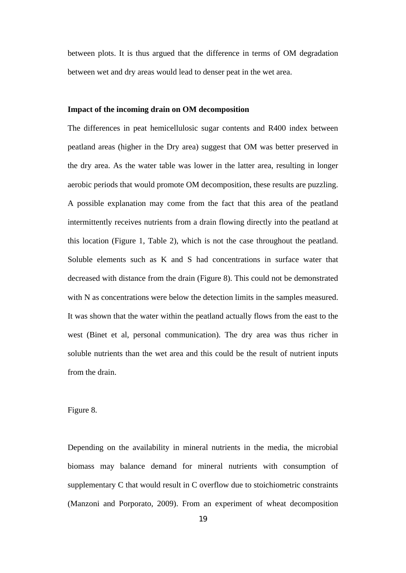between plots. It is thus argued that the difference in terms of OM degradation between wet and dry areas would lead to denser peat in the wet area.

#### **Impact of the incoming drain on OM decomposition**

The differences in peat hemicellulosic sugar contents and R400 index between peatland areas (higher in the Dry area) suggest that OM was better preserved in the dry area. As the water table was lower in the latter area, resulting in longer aerobic periods that would promote OM decomposition, these results are puzzling. A possible explanation may come from the fact that this area of the peatland intermittently receives nutrients from a drain flowing directly into the peatland at this location (Figure 1, Table 2), which is not the case throughout the peatland. Soluble elements such as K and S had concentrations in surface water that decreased with distance from the drain (Figure 8). This could not be demonstrated with N as concentrations were below the detection limits in the samples measured. It was shown that the water within the peatland actually flows from the east to the west (Binet et al, personal communication). The dry area was thus richer in soluble nutrients than the wet area and this could be the result of nutrient inputs from the drain.

#### Figure 8.

Depending on the availability in mineral nutrients in the media, the microbial biomass may balance demand for mineral nutrients with consumption of supplementary C that would result in C overflow due to stoichiometric constraints (Manzoni and Porporato, 2009). From an experiment of wheat decomposition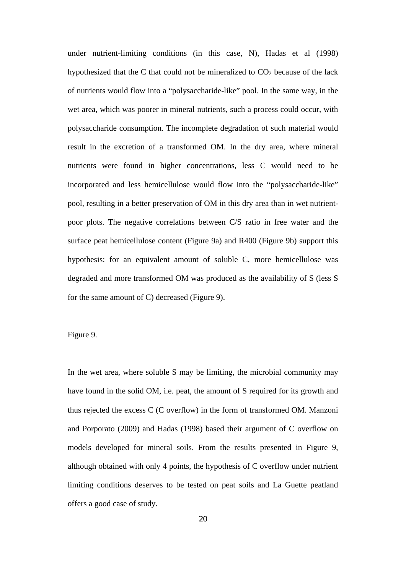under nutrient-limiting conditions (in this case, N), Hadas et al (1998) hypothesized that the C that could not be mineralized to  $CO<sub>2</sub>$  because of the lack of nutrients would flow into a "polysaccharide-like" pool. In the same way, in the wet area, which was poorer in mineral nutrients, such a process could occur, with polysaccharide consumption. The incomplete degradation of such material would result in the excretion of a transformed OM. In the dry area, where mineral nutrients were found in higher concentrations, less C would need to be incorporated and less hemicellulose would flow into the "polysaccharide-like" pool, resulting in a better preservation of OM in this dry area than in wet nutrientpoor plots. The negative correlations between C/S ratio in free water and the surface peat hemicellulose content (Figure 9a) and R400 (Figure 9b) support this hypothesis: for an equivalent amount of soluble C, more hemicellulose was degraded and more transformed OM was produced as the availability of S (less S for the same amount of C) decreased (Figure 9).

## Figure 9.

In the wet area, where soluble S may be limiting, the microbial community may have found in the solid OM, i.e. peat, the amount of S required for its growth and thus rejected the excess C (C overflow) in the form of transformed OM. Manzoni and Porporato (2009) and Hadas (1998) based their argument of C overflow on models developed for mineral soils. From the results presented in Figure 9, although obtained with only 4 points, the hypothesis of C overflow under nutrient limiting conditions deserves to be tested on peat soils and La Guette peatland offers a good case of study.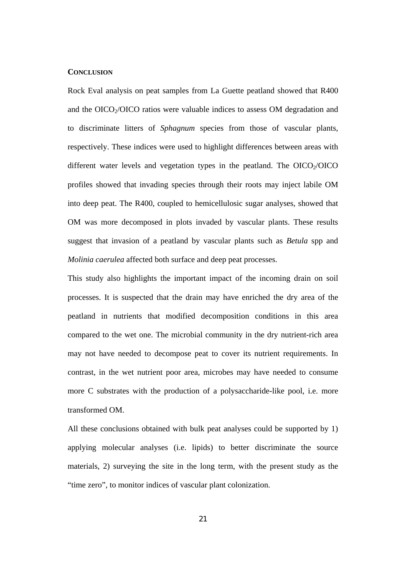#### **CONCLUSION**

Rock Eval analysis on peat samples from La Guette peatland showed that R400 and the  $OICO<sub>2</sub>/OICO$  ratios were valuable indices to assess OM degradation and to discriminate litters of *Sphagnum* species from those of vascular plants, respectively. These indices were used to highlight differences between areas with different water levels and vegetation types in the peatland. The  $OICO<sub>2</sub>/OICO$ profiles showed that invading species through their roots may inject labile OM into deep peat. The R400, coupled to hemicellulosic sugar analyses, showed that OM was more decomposed in plots invaded by vascular plants. These results suggest that invasion of a peatland by vascular plants such as *Betula* spp and *Molinia caerulea* affected both surface and deep peat processes.

This study also highlights the important impact of the incoming drain on soil processes. It is suspected that the drain may have enriched the dry area of the peatland in nutrients that modified decomposition conditions in this area compared to the wet one. The microbial community in the dry nutrient-rich area may not have needed to decompose peat to cover its nutrient requirements. In contrast, in the wet nutrient poor area, microbes may have needed to consume more C substrates with the production of a polysaccharide-like pool, i.e. more transformed OM.

All these conclusions obtained with bulk peat analyses could be supported by 1) applying molecular analyses (i.e. lipids) to better discriminate the source materials, 2) surveying the site in the long term, with the present study as the "time zero", to monitor indices of vascular plant colonization.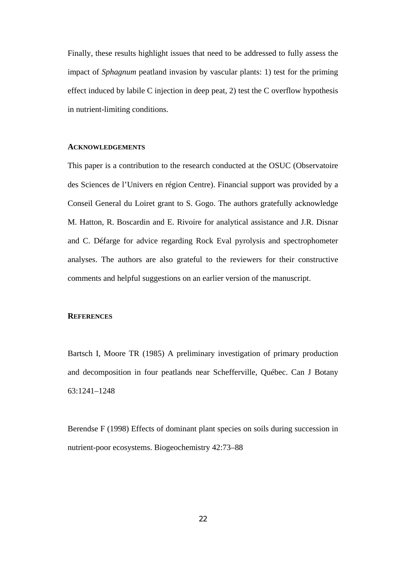Finally, these results highlight issues that need to be addressed to fully assess the impact of *Sphagnum* peatland invasion by vascular plants: 1) test for the priming effect induced by labile C injection in deep peat, 2) test the C overflow hypothesis in nutrient-limiting conditions.

#### **ACKNOWLEDGEMENTS**

This paper is a contribution to the research conducted at the OSUC (Observatoire des Sciences de l'Univers en région Centre). Financial support was provided by a Conseil General du Loiret grant to S. Gogo. The authors gratefully acknowledge M. Hatton, R. Boscardin and E. Rivoire for analytical assistance and J.R. Disnar and C. Défarge for advice regarding Rock Eval pyrolysis and spectrophometer analyses. The authors are also grateful to the reviewers for their constructive comments and helpful suggestions on an earlier version of the manuscript.

#### **REFERENCES**

Bartsch I, Moore TR (1985) A preliminary investigation of primary production and decomposition in four peatlands near Schefferville, Québec. Can J Botany 63:1241–1248

Berendse F (1998) Effects of dominant plant species on soils during succession in nutrient-poor ecosystems. Biogeochemistry 42:73–88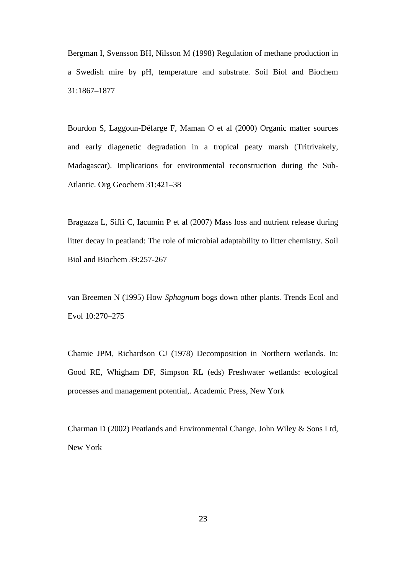Bergman I, Svensson BH, Nilsson M (1998) Regulation of methane production in a Swedish mire by pH, temperature and substrate. Soil Biol and Biochem 31:1867–1877

Bourdon S, Laggoun-Défarge F, Maman O et al (2000) Organic matter sources and early diagenetic degradation in a tropical peaty marsh (Tritrivakely, Madagascar). Implications for environmental reconstruction during the Sub-Atlantic. Org Geochem 31:421–38

Bragazza L, Siffi C, Iacumin P et al (2007) Mass loss and nutrient release during litter decay in peatland: The role of microbial adaptability to litter chemistry. Soil Biol and Biochem 39:257-267

van Breemen N (1995) How *Sphagnum* bogs down other plants. Trends Ecol and Evol 10:270–275

Chamie JPM, Richardson CJ (1978) Decomposition in Northern wetlands. In: Good RE, Whigham DF, Simpson RL (eds) Freshwater wetlands: ecological processes and management potential,. Academic Press, New York

Charman D (2002) Peatlands and Environmental Change. John Wiley & Sons Ltd, New York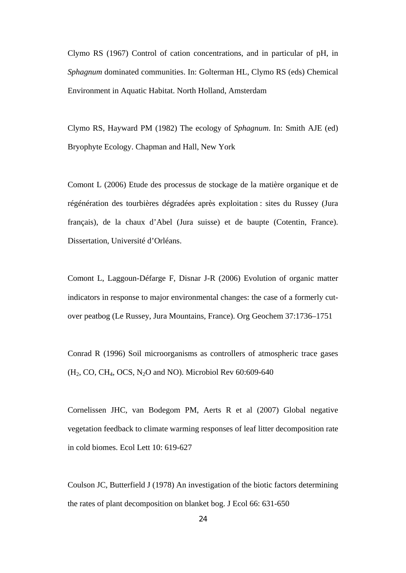Clymo RS (1967) Control of cation concentrations, and in particular of pH, in *Sphagnum* dominated communities. In: Golterman HL, Clymo RS (eds) Chemical Environment in Aquatic Habitat. North Holland, Amsterdam

Clymo RS, Hayward PM (1982) The ecology of *Sphagnum*. In: Smith AJE (ed) Bryophyte Ecology. Chapman and Hall, New York

Comont L (2006) Etude des processus de stockage de la matière organique et de régénération des tourbières dégradées après exploitation : sites du Russey (Jura français), de la chaux d'Abel (Jura suisse) et de baupte (Cotentin, France). Dissertation, Université d'Orléans.

Comont L, Laggoun-Défarge F, Disnar J-R (2006) Evolution of organic matter indicators in response to major environmental changes: the case of a formerly cutover peatbog (Le Russey, Jura Mountains, France). Org Geochem 37:1736–1751

Conrad R (1996) Soil microorganisms as controllers of atmospheric trace gases  $(H_2, CO, CH_4, OCS, N_2O, and NO)$ . Microbiol Rev 60:609-640

Cornelissen JHC, van Bodegom PM, Aerts R et al (2007) Global negative vegetation feedback to climate warming responses of leaf litter decomposition rate in cold biomes. Ecol Lett 10: 619-627

Coulson JC, Butterfield J (1978) An investigation of the biotic factors determining the rates of plant decomposition on blanket bog. J Ecol 66: 631-650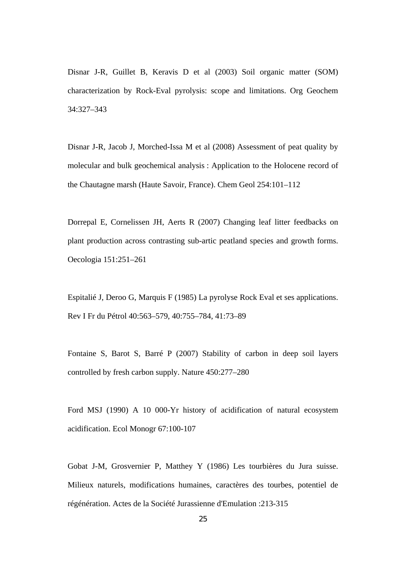Disnar J-R, Guillet B, Keravis D et al (2003) Soil organic matter (SOM) characterization by Rock-Eval pyrolysis: scope and limitations. Org Geochem 34:327–343

Disnar J-R, Jacob J, Morched-Issa M et al (2008) Assessment of peat quality by molecular and bulk geochemical analysis : Application to the Holocene record of the Chautagne marsh (Haute Savoir, France). Chem Geol 254:101–112

Dorrepal E, Cornelissen JH, Aerts R (2007) Changing leaf litter feedbacks on plant production across contrasting sub-artic peatland species and growth forms. Oecologia 151:251–261

Espitalié J, Deroo G, Marquis F (1985) La pyrolyse Rock Eval et ses applications. Rev I Fr du Pétrol 40:563–579, 40:755–784, 41:73–89

Fontaine S, Barot S, Barré P (2007) Stability of carbon in deep soil layers controlled by fresh carbon supply. Nature 450:277–280

Ford MSJ (1990) A 10 000-Yr history of acidification of natural ecosystem acidification. Ecol Monogr 67:100-107

Gobat J-M, Grosvernier P, Matthey Y (1986) Les tourbières du Jura suisse. Milieux naturels, modifications humaines, caractères des tourbes, potentiel de régénération. Actes de la Société Jurassienne d'Emulation :213-315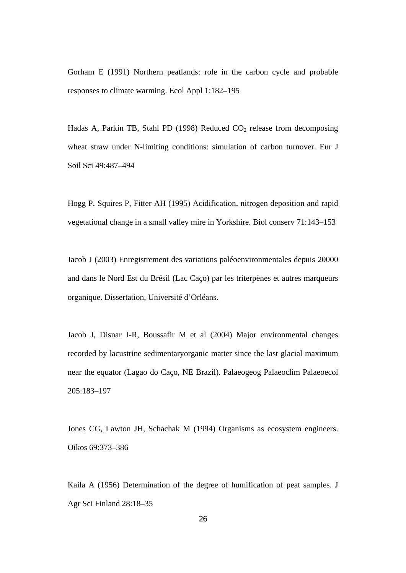Gorham E (1991) Northern peatlands: role in the carbon cycle and probable responses to climate warming. Ecol Appl 1:182–195

Hadas A, Parkin TB, Stahl PD (1998) Reduced  $CO<sub>2</sub>$  release from decomposing wheat straw under N-limiting conditions: simulation of carbon turnover. Eur J Soil Sci 49:487–494

Hogg P, Squires P, Fitter AH (1995) Acidification, nitrogen deposition and rapid vegetational change in a small valley mire in Yorkshire. Biol conserv 71:143–153

Jacob J (2003) Enregistrement des variations paléoenvironmentales depuis 20000 and dans le Nord Est du Brésil (Lac Caço) par les triterpènes et autres marqueurs organique. Dissertation, Université d'Orléans.

Jacob J, Disnar J-R, Boussafir M et al (2004) Major environmental changes recorded by lacustrine sedimentaryorganic matter since the last glacial maximum near the equator (Lagao do Caço, NE Brazil). Palaeogeog Palaeoclim Palaeoecol 205:183–197

Jones CG, Lawton JH, Schachak M (1994) Organisms as ecosystem engineers. Oikos 69:373–386

Kaila A (1956) Determination of the degree of humification of peat samples. J Agr Sci Finland 28:18–35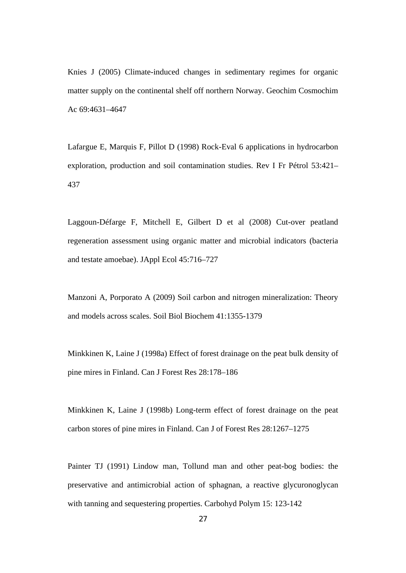Knies J (2005) Climate-induced changes in sedimentary regimes for organic matter supply on the continental shelf off northern Norway. Geochim Cosmochim Ac 69:4631–4647

Lafargue E, Marquis F, Pillot D (1998) Rock-Eval 6 applications in hydrocarbon exploration, production and soil contamination studies. Rev I Fr Pétrol 53:421– 437

Laggoun-Défarge F, Mitchell E, Gilbert D et al (2008) Cut-over peatland regeneration assessment using organic matter and microbial indicators (bacteria and testate amoebae). JAppl Ecol 45:716–727

Manzoni A, Porporato A (2009) Soil carbon and nitrogen mineralization: Theory and models across scales. Soil Biol Biochem 41:1355-1379

Minkkinen K, Laine J (1998a) Effect of forest drainage on the peat bulk density of pine mires in Finland. Can J Forest Res 28:178–186

Minkkinen K, Laine J (1998b) Long-term effect of forest drainage on the peat carbon stores of pine mires in Finland. Can J of Forest Res 28:1267–1275

Painter TJ (1991) Lindow man, Tollund man and other peat-bog bodies: the preservative and antimicrobial action of sphagnan, a reactive glycuronoglycan with tanning and sequestering properties. Carbohyd Polym 15: 123-142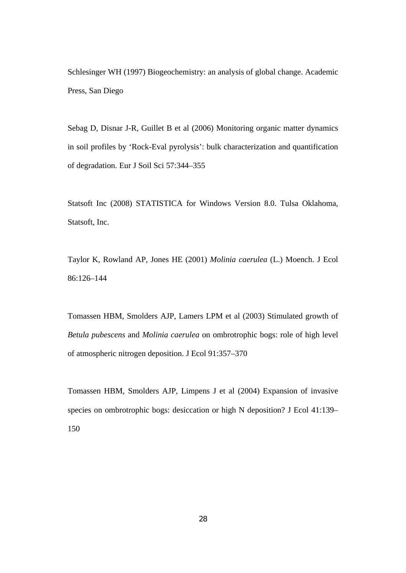Schlesinger WH (1997) Biogeochemistry: an analysis of global change. Academic Press, San Diego

Sebag D, Disnar J-R, Guillet B et al (2006) Monitoring organic matter dynamics in soil profiles by 'Rock-Eval pyrolysis': bulk characterization and quantification of degradation. Eur J Soil Sci 57:344–355

Statsoft Inc (2008) STATISTICA for Windows Version 8.0. Tulsa Oklahoma, Statsoft, Inc.

Taylor K, Rowland AP, Jones HE (2001) *Molinia caerulea* (L.) Moench. J Ecol 86:126–144

Tomassen HBM, Smolders AJP, Lamers LPM et al (2003) Stimulated growth of *Betula pubescens* and *Molinia caerulea* on ombrotrophic bogs: role of high level of atmospheric nitrogen deposition. J Ecol 91:357–370

Tomassen HBM, Smolders AJP, Limpens J et al (2004) Expansion of invasive species on ombrotrophic bogs: desiccation or high N deposition? J Ecol 41:139– 150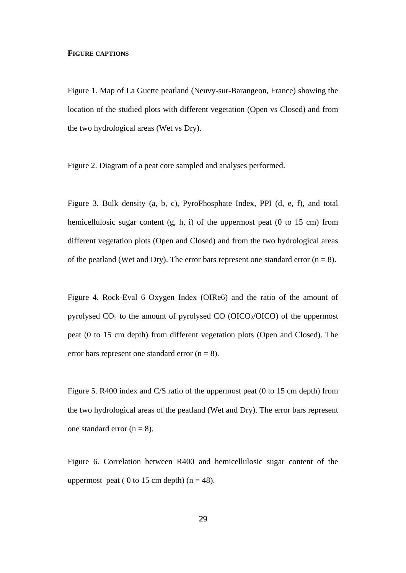#### **FIGURE CAPTIONS**

Figure 1. Map of La Guette peatland (Neuvy-sur-Barangeon, France) showing the location of the studied plots with different vegetation (Open vs Closed) and from the two hydrological areas (Wet vs Dry).

Figure 2. Diagram of a peat core sampled and analyses performed.

Figure 3. Bulk density (a, b, c), PyroPhosphate Index, PPI (d, e, f), and total hemicellulosic sugar content (g, h, i) of the uppermost peat (0 to 15 cm) from different vegetation plots (Open and Closed) and from the two hydrological areas of the peatland (Wet and Dry). The error bars represent one standard error  $(n = 8)$ .

Figure 4. Rock-Eval 6 Oxygen Index (OIRe6) and the ratio of the amount of pyrolysed  $CO<sub>2</sub>$  to the amount of pyrolysed  $CO$  (OICO<sub>2</sub>/OICO) of the uppermost peat (0 to 15 cm depth) from different vegetation plots (Open and Closed). The error bars represent one standard error  $(n = 8)$ .

Figure 5. R400 index and C/S ratio of the uppermost peat (0 to 15 cm depth) from the two hydrological areas of the peatland (Wet and Dry). The error bars represent one standard error  $(n = 8)$ .

Figure 6. Correlation between R400 and hemicellulosic sugar content of the uppermost peat ( 0 to 15 cm depth)  $(n = 48)$ .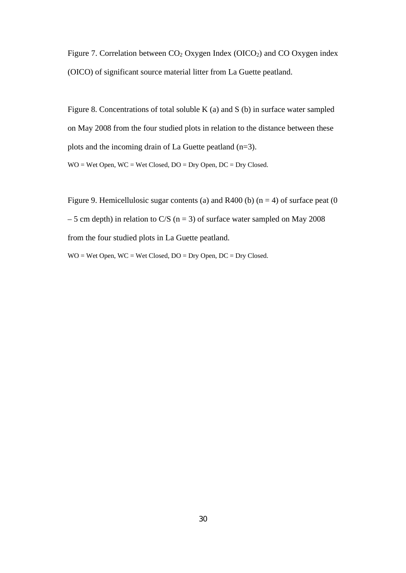Figure 7. Correlation between  $CO<sub>2</sub>$  Oxygen Index (OICO<sub>2</sub>) and CO Oxygen index (OICO) of significant source material litter from La Guette peatland.

Figure 8. Concentrations of total soluble K (a) and S (b) in surface water sampled on May 2008 from the four studied plots in relation to the distance between these plots and the incoming drain of La Guette peatland (n=3). WO = Wet Open, WC = Wet Closed, DO = Dry Open, DC = Dry Closed.

Figure 9. Hemicellulosic sugar contents (a) and R400 (b)  $(n = 4)$  of surface peat (0 – 5 cm depth) in relation to C/S ( $n = 3$ ) of surface water sampled on May 2008 from the four studied plots in La Guette peatland.

WO = Wet Open, WC = Wet Closed, DO = Dry Open, DC = Dry Closed.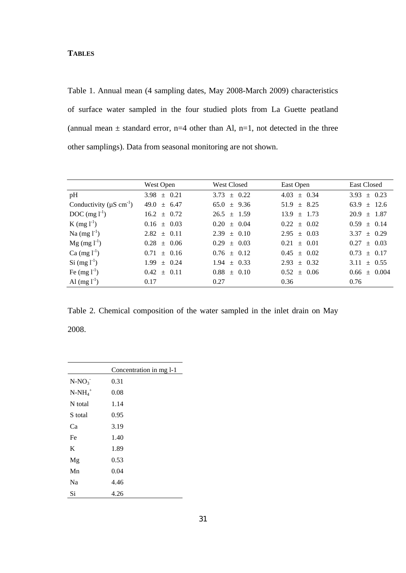## **TABLES**

Table 1. Annual mean (4 sampling dates, May 2008-March 2009) characteristics of surface water sampled in the four studied plots from La Guette peatland (annual mean  $\pm$  standard error, n=4 other than Al, n=1, not detected in the three other samplings). Data from seasonal monitoring are not shown.

|                                           | West Open       | West Closed     | East Open          | <b>East Closed</b> |
|-------------------------------------------|-----------------|-----------------|--------------------|--------------------|
| pH                                        | $3.98 \pm 0.21$ | $3.73 \pm 0.22$ | $\pm$ 0.34<br>4.03 | $3.93 \pm 0.23$    |
| Conductivity ( $\mu$ S cm <sup>-1</sup> ) | $49.0 \pm 6.47$ | $65.0 \pm 9.36$ | $\pm$ 8.25<br>51.9 | $63.9 \pm 12.6$    |
| $DOC$ (mg $l^{-1}$ )                      | $16.2 \pm 0.72$ | $26.5 \pm 1.59$ | 13.9<br>$+$ 1.73   | $20.9 \pm 1.87$    |
| $K$ (mg $l^{-1}$ )                        | $0.16 \pm 0.03$ | $0.20 \pm 0.04$ | 0.22<br>$\pm 0.02$ | $0.59 \pm 0.14$    |
| Na $(mg l^{-1})$                          | $2.82 \pm 0.11$ | $2.39 \pm 0.10$ | 2.95<br>$\pm$ 0.03 | $3.37 \pm 0.29$    |
| $Mg$ (mg $l^{-1}$ )                       | $0.28 \pm 0.06$ | $0.29 \pm 0.03$ | $\pm 0.01$<br>0.21 | $0.27 \pm 0.03$    |
| $Ca (mg l-1)$                             | $0.71 \pm 0.16$ | $0.76 \pm 0.12$ | $0.45 \pm 0.02$    | $0.73 \pm 0.17$    |
| $Si$ (mg $l^{-1}$ )                       | $1.99 \pm 0.24$ | $1.94 \pm 0.33$ | $\pm$ 0.32<br>2.93 | $3.11 \pm 0.55$    |
| Fe $(mg l^{-1})$                          | $0.42 \pm 0.11$ | $0.88 \pm 0.10$ | $0.52 \pm 0.06$    | $0.66 \pm 0.004$   |
| Al $(mg l^{-1})$                          | 0.17            | 0.27            | 0.36               | 0.76               |

Table 2. Chemical composition of the water sampled in the inlet drain on May 2008.

|            | Concentration in mg 1-1 |
|------------|-------------------------|
| $N-NO_3$   | 0.31                    |
| $N-NH_4^+$ | 0.08                    |
| N total    | 1.14                    |
| S total    | 0.95                    |
| Ca         | 3.19                    |
| Fe         | 1.40                    |
| K          | 1.89                    |
| Mg         | 0.53                    |
| Mn         | 0.04                    |
| Na         | 4.46                    |
| Si         | 4.26                    |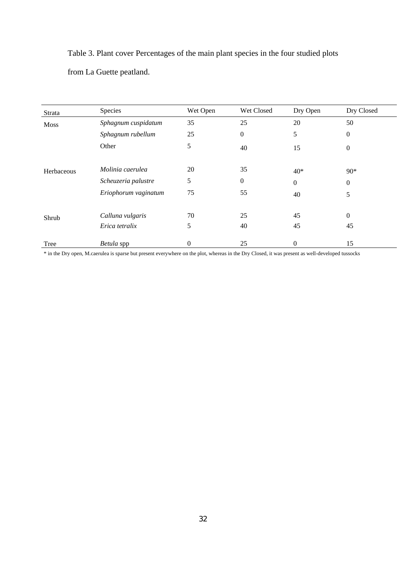Table 3. Plant cover Percentages of the main plant species in the four studied plots from La Guette peatland.

| Strata     | Species              | Wet Open | Wet Closed       | Dry Open     | Dry Closed       |
|------------|----------------------|----------|------------------|--------------|------------------|
| Moss       | Sphagnum cuspidatum  | 35       | 25               | 20           | 50               |
|            | Sphagnum rubellum    | 25       | $\boldsymbol{0}$ | 5            | $\theta$         |
|            | Other                | 5        | 40               | 15           | $\boldsymbol{0}$ |
| Herbaceous | Molinia caerulea     | 20       | 35               | $40*$        | $90*$            |
|            | Scheuzeria palustre  | 5        | $\boldsymbol{0}$ | $\mathbf{0}$ | $\overline{0}$   |
|            | Eriophorum vaginatum | 75       | 55               | 40           | 5                |
| Shrub      | Calluna vulgaris     | 70       | 25               | 45           | $\theta$         |
|            | Erica tetralix       | 5        | 40               | 45           | 45               |
| Tree       | Betula spp           | $\theta$ | 25               | $\mathbf{0}$ | 15               |

\* in the Dry open, M.caerulea is sparse but present everywhere on the plot, whereas in the Dry Closed, it was present as well-developed tussocks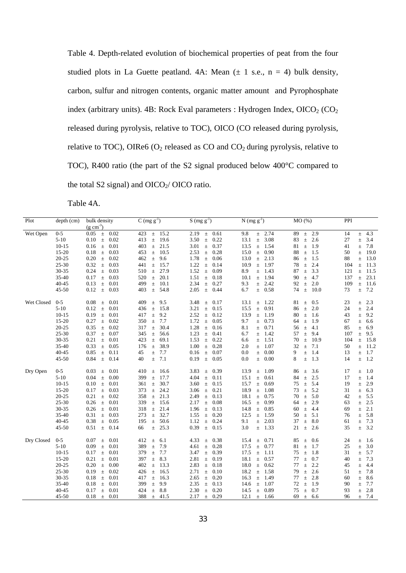Table 4. Depth-related evolution of biochemical properties of peat from the four studied plots in La Guette peatland. 4A: Mean  $(\pm 1 \text{ s.e., n = 4})$  bulk density, carbon, sulfur and nitrogen contents, organic matter amount and Pyrophosphate index (arbitrary units). 4B: Rock Eval parameters : Hydrogen Index,  $OICO<sub>2</sub> (CO<sub>2</sub>)$ released during pyrolysis, relative to TOC), OICO (CO released during pyrolysis, relative to TOC), OIRe6 ( $O_2$  released as CO and  $CO_2$  during pyrolysis, relative to TOC), R400 ratio (the part of the S2 signal produced below 400°C compared to the total S2 signal) and  $OICO<sub>2</sub>/OICO$  ratio.

Table 4A.

| Plot       | depth (cm)            | bulk density                          | $C$ (mg $g^{-1}$ )                           | $S \, (\text{mg } g^{-1})$             | $N$ (mg $g^{-1}$ )                    | MO(%)                             | PPI                                  |
|------------|-----------------------|---------------------------------------|----------------------------------------------|----------------------------------------|---------------------------------------|-----------------------------------|--------------------------------------|
|            |                       | $(g \text{ cm}^{-3})$                 |                                              |                                        |                                       |                                   |                                      |
| Wet Open   | $0 - 5$               | 0.02<br>0.05<br>$\pm$                 | 15.2<br>423<br>$\pm$                         | 0.61<br>2.19<br>$\pm$                  | 9.8<br>2.74<br>$\pm$                  | 2.9<br>89<br>$\pm$                | 14<br>4.3<br>$\pm$                   |
|            | $5 - 10$<br>$10 - 15$ | 0.10<br>0.02<br>$\pm$<br>0.01         | 413<br>19.6<br>$\pm$<br>21.5<br>403          | 3.50<br>0.22<br>$\pm$<br>0.37          | 3.08<br>13.1<br>$\pm$<br>13.5<br>1.54 | 2.6<br>83<br>$\pm$<br>81          | 27<br>$\pm$ 3.4                      |
|            | $15 - 20$             | 0.16<br>$\pm$<br>0.18<br>0.03         | $\pm$<br>453<br>10.5                         | 3.01<br>$\pm$<br>2.53<br>0.28          | $\pm$<br>15.0<br>0.90                 | 1.9<br>$\pm$<br>88<br>1.5         | 7.8<br>41<br>$\pm$<br>50<br>19.0     |
|            | $20 - 25$             | $\pm$<br>0.20<br>0.02                 | $\pm$<br>462<br>9.6                          | $\pm$<br>1.78                          | $\pm$<br>$\pm$ 2.13                   | $\pm$<br>1.5                      | $\pm$<br>88<br>13.0                  |
|            | $25 - 30$             | $\pm$<br>0.32<br>0.03<br>$\pm$        | $\pm$<br>15.7<br>441<br>$\pm$                | 0.06<br>$\pm$<br>1.22<br>0.14<br>$\pm$ | 13.0<br>10.9<br>1.97<br>$\pm$         | 86<br>$\pm$<br>2.4<br>78<br>$\pm$ | $\pm$<br>11.3<br>104<br>$\pm$        |
|            | 30-35                 | 0.24<br>0.03<br>$\pm$                 | 27.9<br>510<br>$\pm$                         | 1.52<br>$\pm$<br>0.09                  | 8.9<br>1.43<br>$\pm$                  | 87<br>3.3<br>$\pm$                | 121<br>11.5<br>$\pm$                 |
|            | 35-40                 |                                       |                                              |                                        | 1.94                                  | 4.7                               | 23.1                                 |
|            | $40 - 45$             | 0.17<br>0.03<br>$\pm$<br>0.13<br>0.01 | 520<br>20.1<br>$\pm$<br>499<br>$\pm$<br>10.1 | 1.51<br>0.18<br>$\pm$<br>2.34<br>0.27  | 10.1<br>$\pm$<br>2.42<br>9.3          | 90<br>$\pm$<br>2.0<br>92<br>$\pm$ | 137<br>$\pm$<br>109<br>$\pm$<br>11.6 |
|            | $45 - 50$             | $\pm$<br>0.03                         | 403<br>54.8                                  | $\pm$                                  | $\pm$                                 | 74<br>10.0                        | 7.2<br>73                            |
|            |                       | 0.12<br>$\pm$                         | $\pm$                                        | 2.05<br>$\pm$<br>0.44                  | 6.7<br>0.58<br>$\pm$                  | $\pm$                             | $\pm$                                |
| Wet Closed | $0 - 5$               | 0.08<br>0.01<br>$\pm$                 | 409<br>9.5<br>$\pm$                          | 3.48<br>0.17<br>$\pm$                  | 1.22<br>13.1<br>$\pm$                 | 81<br>0.5<br>$\pm$                | 23<br>2.3<br>$\pm$                   |
|            | $5 - 10$              | 0.12<br>$\pm$<br>0.01                 | 15.8<br>436<br>$\pm$                         | 3.21<br>0.15<br>$\pm$                  | 0.91<br>15.5<br>$\pm$                 | 2.0<br>86<br>$\pm$                | 2.4<br>24<br>$\pm$                   |
|            | $10 - 15$             | 0.19<br>0.01<br>$\pm$                 | 9.2<br>417<br>$\pm$                          | 2.52<br>0.12<br>$\pm$                  | 13.9<br>1.19<br>$\pm$                 | 80<br>1.6<br>$\pm$                | 43<br>9.2<br>$\pm$                   |
|            | $15 - 20$             | 0.27<br>0.02<br>$\pm$                 | 7.7<br>350<br>$\pm$                          | 1.72<br>$\pm$<br>0.05                  | 9.7<br>0.73<br>$\pm$                  | 1.9<br>64<br>$\pm$                | 67<br>$\pm$<br>6.6                   |
|            | $20 - 25$             | 0.02<br>0.35<br>$\pm$                 | 30.4<br>317<br>$\pm$                         | 1.28<br>0.16<br>$\pm$                  | 8.1<br>0.71<br>$\pm$                  | 4.1<br>56<br>$\pm$                | 85<br>6.9<br>$\pm$                   |
|            | 25-30                 | 0.37<br>0.07<br>$\pm$                 | 345<br>$\pm$<br>56.6                         | 1.23<br>$\pm$<br>0.41                  | 1.42<br>6.7<br>$\pm$                  | 57<br>9.4<br>$\pm$                | 107<br>9.5<br>$\pm$                  |
|            | 30-35                 | 0.21<br>0.01<br>$\pm$                 | 423<br>69.1<br>$\pm$                         | 1.53<br>0.22<br>$\pm$                  | 1.51<br>6.6<br>$\pm$                  | 70<br>10.9<br>$\pm$               | 104<br>15.8<br>$\pm$                 |
|            | 35-40                 | 0.33<br>0.05<br>$\pm$                 | 176<br>38.9<br>$\pm$                         | 1.00<br>0.28<br>$\pm$                  | 2.0<br>1.07<br>$\pm$                  | 32<br>7.1<br>$\pm$                | 50<br>11.2<br>$\pm$                  |
|            | $40 - 45$             | 0.85<br>$\pm$<br>0.11                 | 7.7<br>45<br>$\pm$                           | 0.16<br>$\pm$<br>0.07                  | 0.00<br>0.0<br>$\pm$                  | 9<br>1.4<br>$\pm$                 | 13<br>1.7<br>$\pm$                   |
|            | $45 - 50$             | 0.14<br>0.84<br>$\pm$                 | 7.1<br>40<br>$\pm$                           | 0.05<br>0.19<br>$\pm$                  | 0.0<br>0.00<br>$\pm$                  | 8<br>1.3<br>$\pm$                 | 1.2<br>14<br>$\pm$                   |
| Dry Open   | $0 - 5$               | 0.03<br>0.01<br>$\pm$                 | 410<br>16.6<br>$\pm$                         | 3.83<br>0.39<br>$\pm$                  | 1.09<br>13.9<br>$\pm$                 | 3.6<br>86<br>$\pm$                | 17<br>1.0<br>$\pm$                   |
|            | $5 - 10$              | 0.04<br>0.00<br>$\pm$                 | 399<br>17.7<br>$\pm$                         | 4.04<br>0.11<br>$\pm$                  | 15.1<br>0.61<br>$\pm$                 | 84<br>2.5<br>$\pm$                | 17<br>1.4<br>$\pm$                   |
|            | $10-15$               | 0.10<br>$\pm$<br>0.01                 | 30.7<br>361<br>$\pm$                         | 3.60<br>$\pm$<br>0.15                  | 15.7<br>$\pm$<br>0.69                 | 5.4<br>75<br>$\pm$                | 19<br>2.9<br>$\pm$                   |
|            | $15 - 20$             | 0.17<br>0.03<br>$\pm$                 | 373<br>24.2<br>$\pm$                         | 3.06<br>0.21<br>$\pm$                  | 18.9<br>1.08<br>$\pm$                 | 5.2<br>73<br>$\pm$                | 31<br>6.3<br>$\pm$                   |
|            | $20 - 25$             | 0.21<br>$\pm$<br>0.02                 | 358<br>21.3<br>$\pm$                         | 2.49<br>$\pm$<br>0.13                  | 0.75<br>18.1<br>$\pm$                 | 70<br>5.0<br>$\pm$                | 42<br>$\pm$ 5.5                      |
|            | 25-30                 | 0.26<br>0.01<br>$\pm$                 | 339<br>15.6<br>$\pm$                         | 2.17<br>$\pm$<br>0.08                  | 16.5<br>0.99<br>$\pm$                 | 2.9<br>64<br>$\pm$                | 2.5<br>63<br>$\pm$                   |
|            | 30-35                 | 0.26<br>$\pm$<br>0.01                 | 21.4<br>318<br>$\pm$                         | 1.96<br>0.13<br>$\pm$                  | 14.8<br>$\pm$<br>0.85                 | 60<br>4.4<br>$\pm$                | 2.1<br>69<br>$\pm$                   |
|            | 35-40                 | 0.31<br>0.03<br>$\pm$                 | 273<br>32.7<br>$\pm$                         | 1.55<br>0.20<br>$\pm$                  | 12.5<br>1.59<br>$\pm$                 | 50<br>5.1<br>$\pm$                | ± 5.8<br>76                          |
|            | 40-45                 | 0.38<br>$\pm$<br>0.05                 | 195<br>$\pm$<br>50.6                         | 1.12<br>$\pm$<br>0.24                  | 2.03<br>9.1<br>$\pm$                  | 37<br>8.0<br>$\pm$                | 7.3<br>61<br>$\pm$                   |
|            | $45 - 50$             | 0.51<br>$\pm$<br>0.14                 | 25.3<br>$\pm$<br>66                          | 0.15<br>0.39<br>$\pm$                  | 3.0<br>1.33<br>$\pm$                  | 21<br>2.6<br>$\pm$                | 3.2<br>35<br>$\pm$                   |
| Dry Closed | $0 - 5$               | 0.07<br>0.01<br>$\pm$                 | 412<br>6.1<br>$\pm$                          | 4.33<br>0.38<br>$\pm$                  | 0.71<br>15.4<br>$\pm$                 | 85<br>0.6<br>$\pm$                | 24<br>1.6<br>$\pm$                   |
|            | $5 - 10$              | 0.09<br>0.01<br>$\pm$                 | 389<br>$\pm$<br>7.9                          | 0.28<br>4.61<br>$\pm$                  | 17.5<br>0.77<br>$\pm$                 | 81<br>1.7<br>$\pm$                | 25<br>3.0<br>$\pm$                   |
|            | $10-15$               | 0.17<br>$\pm$<br>0.01                 | 379<br>7.7<br>$\pm$                          | 3.47<br>$\pm$<br>0.39                  | 17.5<br>$\pm$<br>1.11                 | 75<br>$\pm$<br>1.8                | 31<br>5.7<br>$\pm$                   |
|            | $15 - 20$             | 0.21<br>0.01<br>$\pm$                 | 8.3<br>397<br>$\pm$                          | 2.81<br>0.19<br>$\pm$                  | 18.1<br>0.57<br>$\pm$                 | 0.7<br>77<br>士                    | 40<br>7.3<br>$\pm$                   |
|            | $20 - 25$             | 0.20<br>0.00<br>$\pm$                 | 402<br>13.3<br>$\pm$                         | 2.83<br>0.18<br>$\pm$                  | 0.62<br>18.0<br>$\pm$                 | 2.2<br>77<br>$\pm$                | 45<br>4.4<br>$\pm$                   |
|            | 25-30                 | 0.19<br>$\pm$<br>0.02                 | 16.5<br>426<br>$\pm$                         | 2.71<br>0.10<br>$\pm$                  | 18.2<br>1.58<br>$\pm$                 | 79<br>2.6<br>$\pm$                | 7.8<br>51<br>$\pm$                   |
|            | 30-35                 | 0.18<br>0.01<br>$\pm$                 | 16.3<br>417<br>$\pm$                         | 0.20<br>2.65<br>$\pm$                  | 16.3<br>1.49<br>$\pm$                 | 77<br>2.8<br>$\pm$                | 60<br>8.6<br>$\pm$                   |
|            | 35-40                 | 0.18<br>0.01<br>$\pm$                 | 399<br>9.9<br>$\pm$                          | 2.35<br>0.13<br>$\pm$                  | 14.6<br>1.07<br>$\pm$                 | 72<br>1.9<br>$\pm$                | 90<br>7.7<br>$\pm$                   |
|            | 40-45                 | 0.01<br>0.17<br>$\pm$                 | 424<br>8.8<br>$\pm$                          | 2.30<br>0.20<br>$\pm$                  | 14.5<br>0.89<br>$\pm$                 | 75<br>0.7<br>$\pm$                | 2.8<br>93<br>$\pm$                   |
|            | 45-50                 | 0.18<br>0.01<br>$\pm$                 | 388<br>$\pm$<br>41.5                         | 2.17<br>$\pm$<br>0.29                  | 12.1<br>$\pm$<br>1.66                 | 69<br>$\pm$<br>6.6                | 96<br>7.4<br>$\pm$                   |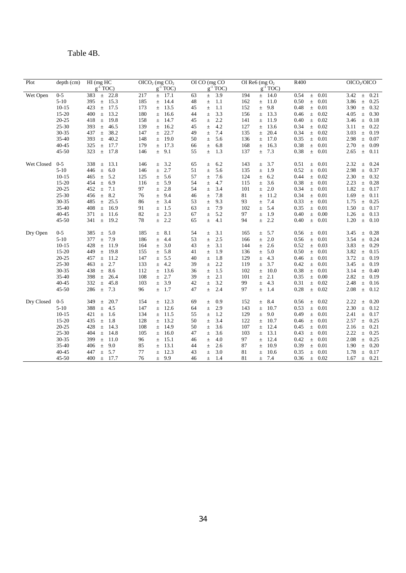## Table 4B.

| Plot       | depth (cm) | $HI$ (mg $HC$<br>$g^{-1}$ TOC) | OICO <sub>2</sub> (mg CO <sub>2</sub> )<br>$g^{-1}$ TOC) | OI CO (mg CO<br>$g^{-1}$ TOC) | OI Re6 (mg $O2$<br>$g^{-1}$ TOC) | R400                  | OICO <sub>2</sub> /OICO |
|------------|------------|--------------------------------|----------------------------------------------------------|-------------------------------|----------------------------------|-----------------------|-------------------------|
| Wet Open   | $0 - 5$    | 383<br>22.8<br>$\pm$           | 217<br>17.1<br>$\pm$                                     | 3.9<br>63<br>$\pm$            | 194<br>14.0<br>$\pm$             | 0.01<br>0.54<br>$\pm$ | 0.21<br>3.42<br>$\pm$   |
|            | $5 - 10$   | 15.3<br>395<br>$\pm$           | 185<br>14.4<br>$\pm$                                     | 48<br>1.1<br>$\pm$            | 162<br>11.0<br>$\pm$             | 0.50<br>0.01<br>$\pm$ | 3.86<br>$\pm$<br>0.25   |
|            | $10-15$    | 423<br>17.5<br>$\pm$           | 13.5<br>173<br>$\pm$                                     | 1.1<br>45<br>$\pm$            | 152<br>9.8<br>$\pm$              | 0.48<br>0.01<br>$\pm$ | 0.32<br>3.90<br>$\pm$   |
|            | 15-20      | 400<br>13.2<br>$\pm$           | 180<br>16.6<br>$\pm$                                     | 3.3<br>44<br>$\pm$            | 13.3<br>156<br>$\pm$             | 0.02<br>0.46<br>$\pm$ | 4.05<br>0.30<br>$\pm$   |
|            | $20 - 25$  | 418<br>19.8<br>$\pm$           | 158<br>14.7<br>$\pm$                                     | 45<br>2.2<br>$\pm$            | 141<br>11.9<br>$\pm$             | 0.40<br>0.02<br>$\pm$ | 3.46<br>0.18<br>$\pm$   |
|            | $25 - 30$  | 46.5<br>393<br>$\pm$           | 139<br>16.2<br>$\pm$                                     | 4.2<br>45<br>$\pm$            | 127<br>13.6<br>$\pm$             | 0.34<br>0.02<br>$\pm$ | 0.22<br>3.11<br>$\pm$   |
|            | 30-35      | 437<br>38.2<br>$\pm$           | 147<br>22.7<br>$\pm$                                     | 49<br>7.4<br>$\pm$            | 135<br>20.4<br>$\pm$             | 0.34<br>0.02<br>$\pm$ | 3.03<br>0.19<br>$\pm$   |
|            | 35-40      | 40.2<br>393<br>$\pm$           | 148<br>19.0<br>$\pm$                                     | 5.6<br>50<br>$\pm$            | 17.0<br>136<br>$\pm$             | 0.35<br>0.01<br>$\pm$ | 2.98<br>0.07<br>$\pm$   |
|            | $40 - 45$  | 325<br>17.7<br>$\pm$           | 17.3<br>179<br>$\pm$                                     | 6.8<br>66<br>$\pm$            | 168<br>16.3<br>$\pm$             | 0.38<br>0.01<br>$\pm$ | 2.70<br>0.09<br>$\pm$   |
|            | $45 - 50$  | 323<br>17.8<br>$\pm$           | 146<br>9.1<br>$\pm$                                      | 55<br>1.3<br>$\pm$            | 7.3<br>137<br>$\pm$              | 0.38<br>$\pm$<br>0.01 | 2.65<br>$\pm$<br>0.11   |
| Wet Closed | $0 - 5$    | 338<br>13.1<br>$\pm$           | 146<br>3.2<br>$\pm$                                      | 65<br>6.2<br>$\pm$            | 143<br>3.7<br>$\pm$              | 0.01<br>0.51<br>$\pm$ | 2.32<br>0.24<br>$\pm$   |
|            | $5 - 10$   | $\pm$<br>6.0<br>446            | 2.7<br>146<br>$\pm$                                      | 51<br>5.6<br>$\pm$            | 135<br>1.9<br>$\pm$              | 0.52<br>$\pm$<br>0.01 | 2.98<br>$\pm$<br>0.37   |
|            | $10 - 15$  | 5.2<br>465<br>$\pm$            | 5.6<br>125<br>$\pm$                                      | 57<br>7.6<br>$\pm$            | 124<br>6.2<br>$\pm$              | 0.44<br>0.02<br>$\pm$ | 2.30<br>0.32<br>$\pm$   |
|            | $15 - 20$  | 6.9<br>454<br>$\pm$            | 5.9<br>116<br>$\pm$                                      | 54<br>4.7<br>$\pm$            | 3.6<br>115<br>$\pm$              | 0.38<br>0.01<br>$\pm$ | 2.23<br>0.28<br>$\pm$   |
|            | $20 - 25$  | 452<br>7.1<br>$\pm$            | 97<br>2.8<br>$\pm$                                       | 54<br>3.4<br>$\pm$            | 101<br>2.0<br>$\pm$              | 0.34<br>0.01<br>$\pm$ | 1.82<br>0.17<br>$\pm$   |
|            | $25 - 30$  | 8.2<br>456<br>$\pm$            | 9.4<br>76<br>$\pm$                                       | 7.8<br>46<br>$\pm$            | 81<br>11.2<br>$\pm$              | 0.34<br>0.01<br>$\pm$ | 1.69<br>$\pm$<br>0.11   |
|            | 30-35      | 25.5<br>485<br>$\pm$           | 3.4<br>86<br>$\pm$                                       | 53<br>9.3<br>$\pm$            | 7.4<br>93<br>$\pm$               | 0.33<br>0.01<br>$\pm$ | 1.75<br>$\pm$<br>0.25   |
|            | 35-40      | 16.9<br>408<br>$\pm$           | 91<br>$\pm$<br>1.5                                       | 7.9<br>63<br>$\pm$            | 102<br>5.4<br>$\pm$              | 0.35<br>$\pm$<br>0.01 | 0.17<br>1.50<br>$\pm$   |
|            | $40 - 45$  | 371<br>11.6<br>$\pm$           | 2.3<br>82<br>$\pm$                                       | 5.2<br>67<br>$\pm$            | 97<br>1.9<br>$\pm$               | 0.40<br>0.00<br>$\pm$ | 1.26<br>0.13<br>$\pm$   |
|            | $45 - 50$  | 341<br>19.2<br>$\pm$           | 2.2<br>78<br>$\pm$                                       | 65<br>4.1<br>$\pm$            | 2.2<br>94<br>$\pm$               | 0.40<br>0.01<br>$\pm$ | 1.20<br>0.10<br>$\pm$   |
| Dry Open   | $0 - 5$    | 5.0<br>385<br>$\pm$            | 185<br>8.1<br>Ŧ.                                         | 54<br>3.1<br>$\pm$            | 165<br>5.7<br>$\pm$              | 0.01<br>0.56<br>$\pm$ | 0.28<br>3.45<br>$\pm$   |
|            | $5 - 10$   | 7.9<br>$\pm$<br>377            | 186<br>$\pm$<br>4.4                                      | 53<br>2.5<br>$\pm$            | 2.0<br>166<br>$\pm$              | 0.56<br>$\pm$<br>0.01 | 0.24<br>3.54<br>$\pm$   |
|            | $10 - 15$  | 428<br>11.9<br>$\pm$           | 164<br>3.0<br>$\pm$                                      | 3.1<br>43<br>$\pm$            | 2.6<br>144<br>$\pm$              | 0.52<br>0.03<br>$\pm$ | 3.83<br>0.29<br>$\pm$   |
|            | $15 - 20$  | 449<br>19.8<br>$\pm$           | 5.8<br>155<br>$\pm$                                      | 1.9<br>41<br>$\pm$            | 5.0<br>136<br>$\pm$              | 0.50<br>0.01<br>$\pm$ | 3.82<br>0.15<br>$\pm$   |
|            | $20 - 25$  | 457<br>11.2<br>$\pm$           | 5.5<br>147<br>$\pm$                                      | 40<br>1.8<br>$\pm$            | 4.3<br>129<br>$\pm$              | 0.46<br>0.01<br>$\pm$ | 3.72<br>0.19<br>$\pm$   |
|            | 25-30      | $\pm$ 2.7<br>463               | 4.2<br>133<br>$\pm$                                      | 2.2<br>39<br>$\pm$            | 3.7<br>119<br>$\pm$              | 0.42<br>0.01<br>$\pm$ | 3.45<br>$\pm$<br>0.19   |
|            | 30-35      | 8.6<br>438<br>$\pm$            | 13.6<br>112<br>$\pm$                                     | 36<br>1.5<br>$\pm$            | 102<br>10.0<br>$\pm$             | 0.38<br>0.01<br>$\pm$ | 3.14<br>0.40<br>$\pm$   |
|            | 35-40      | 26.4<br>398<br>$\pm$           | 108<br>2.7<br>$\pm$                                      | 2.1<br>39<br>$\pm$            | 2.1<br>101<br>$\pm$              | 0.35<br>0.00<br>$\pm$ | 2.82<br>$\pm$<br>0.19   |
|            | $40 - 45$  | 45.8<br>332<br>$\pm$           | 3.9<br>103<br>$\pm$                                      | 42<br>3.2<br>$\pm$            | 4.3<br>99<br>$\pm$               | 0.31<br>$\pm$<br>0.02 | 2.48<br>$\pm$<br>0.16   |
|            | $45 - 50$  | 7.3<br>286<br>$\pm$            | 1.7<br>96<br>$\pm$                                       | 47<br>2.4<br>$\pm$            | 97<br>1.4<br>$\pm$               | 0.28<br>0.02<br>$\pm$ | 2.08<br>$\pm$<br>0.12   |
| Dry Closed | $0 - 5$    | 349<br>20.7<br>$\pm$           | 12.3<br>154<br>$_{\pm}$                                  | 69<br>0.9<br>$\pm$            | 152<br>8.4<br>$\pm$              | 0.56<br>0.02<br>$\pm$ | 2.22<br>0.20<br>$\pm$   |
|            | $5 - 10$   | 388<br>$\pm$<br>4.5            | 12.6<br>147<br>$\pm$                                     | 2.9<br>64<br>$\pm$            | 143<br>10.7<br>$\pm$             | 0.53<br>$\pm$<br>0.01 | 2.30<br>$\pm$<br>0.12   |
|            | $10-15$    | 421<br>1.6<br>$\pm$            | 134<br>11.5<br>±.                                        | 55<br>1.2<br>$\pm$            | 129<br>9.0<br>$\pm$              | 0.49<br>0.01<br>$\pm$ | 2.41<br>0.17<br>$\pm$   |
|            | $15 - 20$  | 1.8<br>435<br>$\pm$            | 13.2<br>128<br>$\pm$                                     | 3.4<br>50<br>$\pm$            | 122<br>10.7<br>$\pm$             | 0.01<br>0.46<br>$\pm$ | 2.57<br>$\pm$<br>0.25   |
|            | $20 - 25$  | 428<br>14.3<br>$\pm$           | 108<br>14.9<br>$\pm$                                     | 50<br>3.6<br>$\pm$            | 107<br>12.4<br>$\pm$             | 0.45<br>0.01<br>$\pm$ | 2.16<br>0.21<br>$\pm$   |
|            | 25-30      | 404<br>14.8<br>$\pm$           | 105<br>16.0<br>$\pm$                                     | 47<br>3.6<br>$\pm$            | 103<br>13.1<br>$_{\pm}$          | 0.43<br>0.01<br>$\pm$ | 2.22<br>0.25<br>$\pm$   |
|            | 30-35      | 11.0<br>399<br>$\pm$           | 15.1<br>96<br>$\pm$                                      | 4.0<br>46<br>$\pm$            | 97<br>12.4<br>$\pm$              | 0.42<br>0.01<br>$\pm$ | 2.08<br>0.25<br>$\pm$   |
|            | $35 - 40$  | 406<br>9.0<br>$\pm$            | 85<br>13.1<br>$\pm$                                      | 2.6<br>44<br>$\pm$            | 87<br>10.9<br>$\pm$              | 0.39<br>0.01<br>$\pm$ | 1.90<br>0.20<br>$\pm$   |
|            | $40 - 45$  | 5.7<br>447<br>$\pm$            | 12.3<br>77<br>±.                                         | 43<br>3.0<br>$\pm$            | 81<br>10.6<br>$\pm$              | 0.35<br>0.01<br>$\pm$ | 1.78<br>0.17<br>$\pm$   |
|            | 45-50      | 400<br>17.7<br>$\pm$           | 76<br>9.9<br>$\pm$                                       | 46<br>1.4<br>$\pm$            | 81<br>7.4<br>$\pm$               | 0.36<br>0.02<br>$\pm$ | 1.67<br>0.21<br>$\pm$   |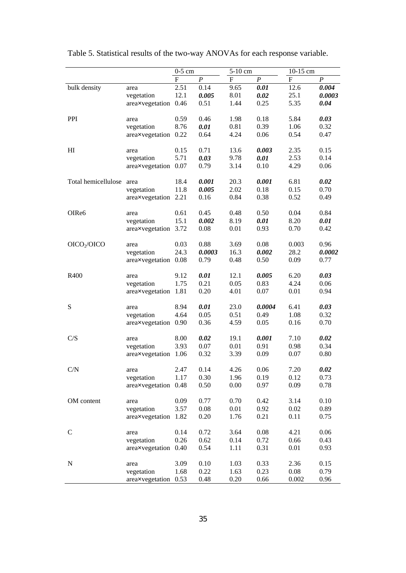|                         |                      | $0-5$ cm |                  | 5-10 cm   |                  | 10-15 cm                  |                  |
|-------------------------|----------------------|----------|------------------|-----------|------------------|---------------------------|------------------|
|                         |                      | F        | $\boldsymbol{P}$ | ${\bf F}$ | $\boldsymbol{P}$ | $\boldsymbol{\mathrm{F}}$ | $\boldsymbol{P}$ |
| bulk density            | area                 | 2.51     | 0.14             | 9.65      | 0.01             | 12.6                      | 0.004            |
|                         | vegetation           | 12.1     | 0.005            | 8.01      | 0.02             | 25.1                      | 0.0003           |
|                         | areaxvegetation 0.46 |          | 0.51             | 1.44      | 0.25             | 5.35                      | 0.04             |
| <b>PPI</b>              | area                 | 0.59     | 0.46             | 1.98      | 0.18             | 5.84                      | 0.03             |
|                         | vegetation           | 8.76     | 0.01             | 0.81      | 0.39             | 1.06                      | 0.32             |
|                         | areaxvegetation 0.22 |          | 0.64             | 4.24      | 0.06             | 0.54                      | 0.47             |
| HI                      | area                 | 0.15     | 0.71             | 13.6      | 0.003            | 2.35                      | 0.15             |
|                         | vegetation           | 5.71     | 0.03             | 9.78      | 0.01             | 2.53                      | 0.14             |
|                         | areaxvegetation 0.07 |          | 0.79             | 3.14      | 0.10             | 4.29                      | 0.06             |
| Total hemicellulose     | area                 | 18.4     | 0.001            | 20.3      | 0.001            | 6.81                      | 0.02             |
|                         | vegetation           | 11.8     | 0.005            | 2.02      | 0.18             | 0.15                      | 0.70             |
|                         | areaxvegetation 2.21 |          | 0.16             | 0.84      | 0.38             | 0.52                      | 0.49             |
| OIRe6                   | area                 | 0.61     | 0.45             | 0.48      | 0.50             | 0.04                      | 0.84             |
|                         | vegetation           | 15.1     | 0.002            | 8.19      | 0.01             | 8.20                      | 0.01             |
|                         | areaxvegetation      | 3.72     | 0.08             | 0.01      | 0.93             | 0.70                      | 0.42             |
| OICO <sub>2</sub> /OICO | area                 | 0.03     | 0.88             | 3.69      | 0.08             | 0.003                     | 0.96             |
|                         | vegetation           | 24.3     | 0.0003           | 16.3      | 0.002            | 28.2                      | 0.0002           |
|                         | areaxvegetation 0.08 |          | 0.79             | 0.48      | 0.50             | 0.09                      | 0.77             |
| R400                    | area                 | 9.12     | 0.01             | 12.1      | 0.005            | 6.20                      | 0.03             |
|                         | vegetation           | 1.75     | 0.21             | 0.05      | 0.83             | 4.24                      | 0.06             |
|                         | areaxvegetation      | 1.81     | 0.20             | 4.01      | 0.07             | 0.01                      | 0.94             |
| ${\bf S}$               | area                 | 8.94     | 0.01             | 23.0      | 0.0004           | 6.41                      | 0.03             |
|                         | vegetation           | 4.64     | 0.05             | 0.51      | 0.49             | 1.08                      | 0.32             |
|                         | areaxvegetation 0.90 |          | 0.36             | 4.59      | 0.05             | 0.16                      | 0.70             |
| C/S                     | area                 | 8.00     | 0.02             | 19.1      | 0.001            | 7.10                      | 0.02             |
|                         | vegetation           | 3.93     | 0.07             | 0.01      | 0.91             | 0.98                      | 0.34             |
|                         | areaxvegetation      | 1.06     | 0.32             | 3.39      | 0.09             | 0.07                      | 0.80             |
| C/N                     | area                 | 2.47     | 0.14             | 4.26      | 0.06             | 7.20                      | 0.02             |
|                         | vegetation           | 1.17     | 0.30             | 1.96      | 0.19             | 0.12                      | 0.73             |
|                         | areaxvegetation      | 0.48     | 0.50             | 0.00      | 0.97             | 0.09                      | 0.78             |
| OM content              | area                 | 0.09     | 0.77             | 0.70      | 0.42             | 3.14                      | 0.10             |
|                         | vegetation           | 3.57     | 0.08             | 0.01      | 0.92             | 0.02                      | 0.89             |
|                         | areaxvegetation      | 1.82     | 0.20             | 1.76      | 0.21             | 0.11                      | 0.75             |
| $\mathcal{C}$           | area                 | 0.14     | 0.72             | 3.64      | 0.08             | 4.21                      | 0.06             |
|                         | vegetation           | 0.26     | 0.62             | 0.14      | 0.72             | 0.66                      | 0.43             |
|                         | areaxvegetation      | 0.40     | 0.54             | 1.11      | 0.31             | 0.01                      | 0.93             |
| ${\bf N}$               | area                 | 3.09     | 0.10             | 1.03      | 0.33             | 2.36                      | 0.15             |
|                         | vegetation           | 1.68     | 0.22             | 1.63      | 0.23             | 0.08                      | 0.79             |
|                         | areaxvegetation      | 0.53     | 0.48             | 0.20      | 0.66             | 0.002                     | 0.96             |

Table 5. Statistical results of the two-way ANOVAs for each response variable.